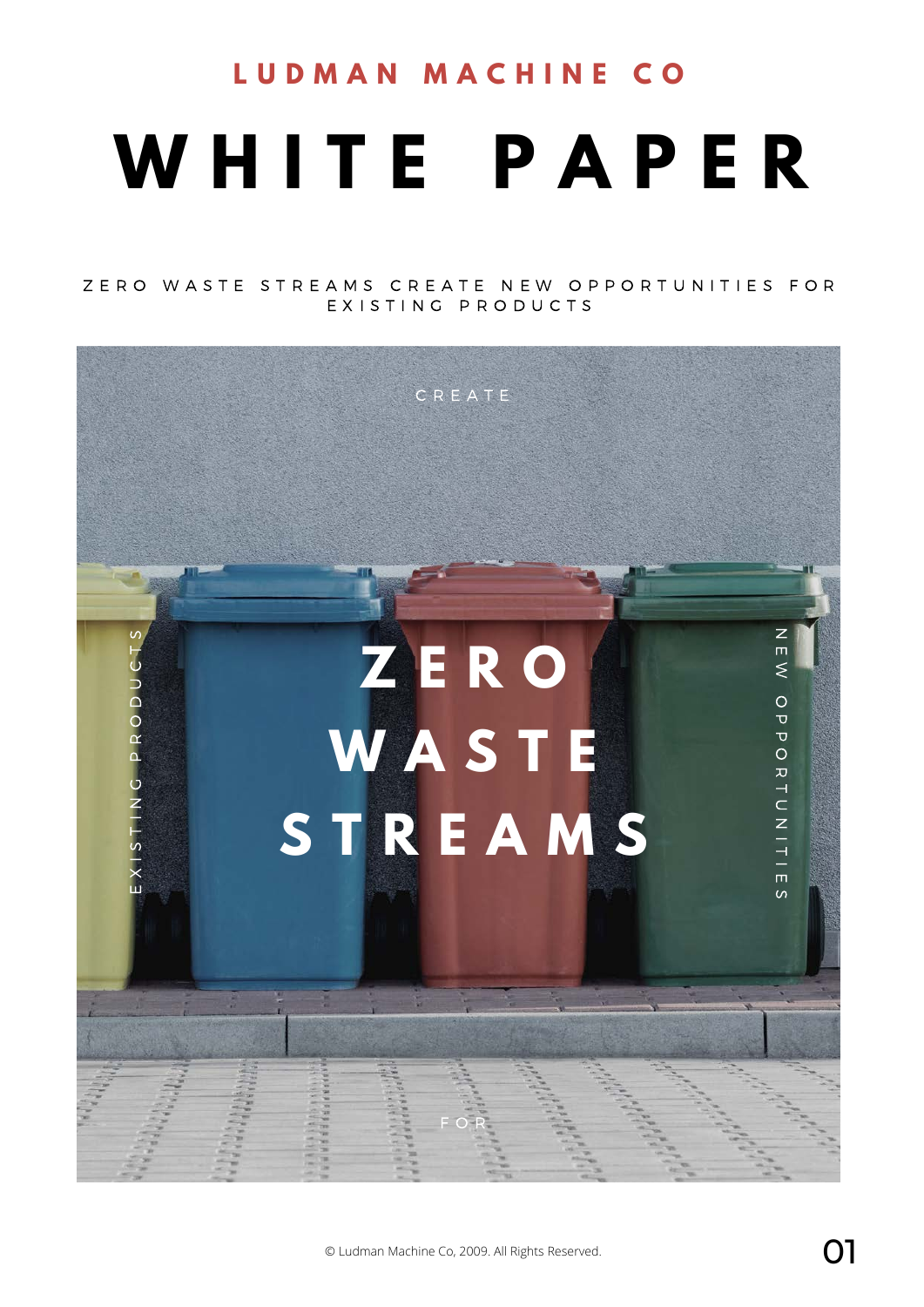# **W H I T E P A P E R L U D M A N M A C H I N E C O**

ZERO WASTE STREAMS CREATE NEW OPPORTUNITIES FOR EXISTING PRODUCTS

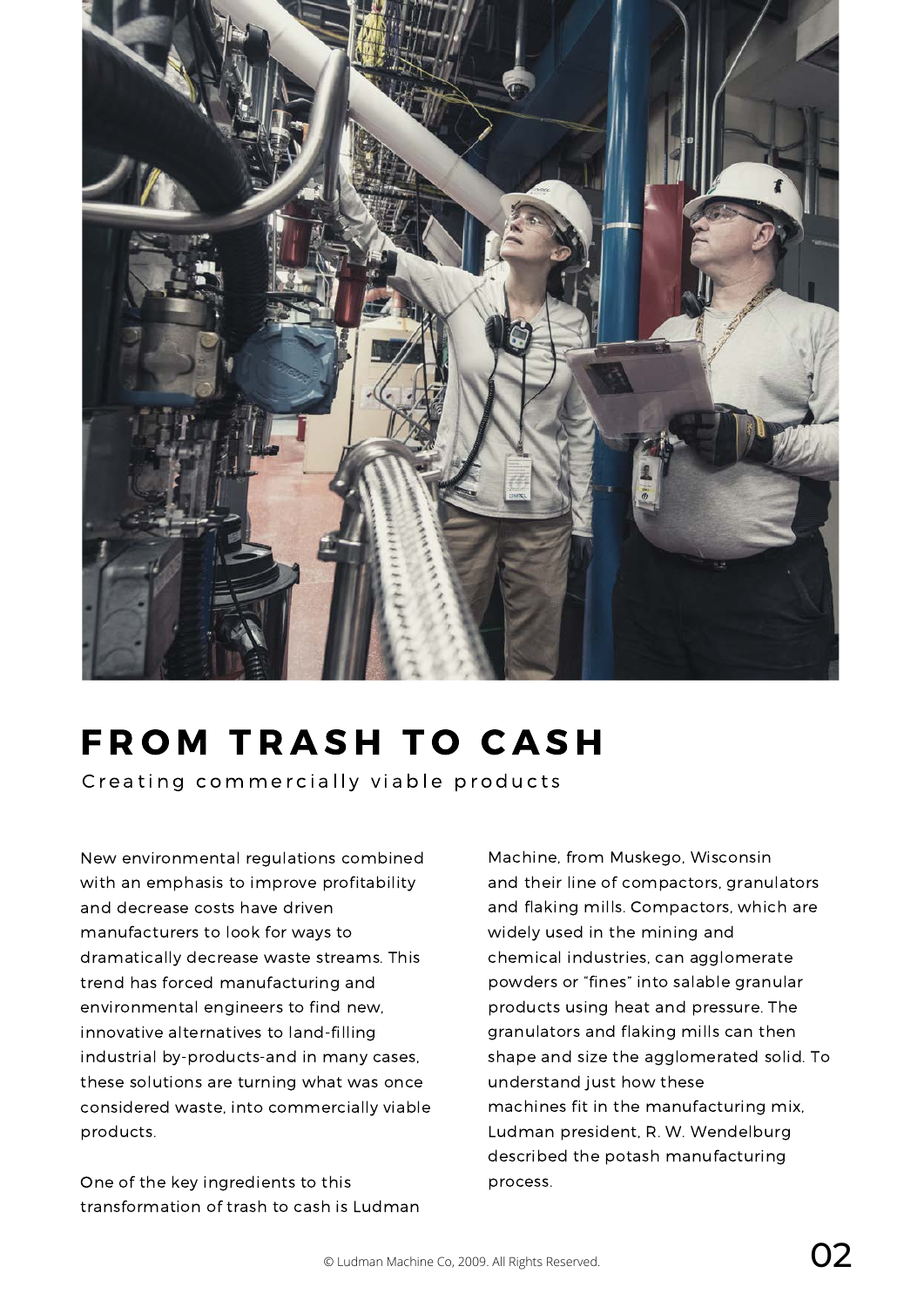

# **FROM TRASH TO CASH**

Creating commercially viable products

New environmental regulations combined with an emphasis to improve profitability and decrease costs have driven manufacturers to look for ways to dramatically decrease waste streams. This trend has forced manufacturing and environmental engineers to find new, innovative alternatives to land-filling industrial by-products-and in many cases, these solutions are turning what was once considered waste, into commercially viable products.

One of the key ingredients to this transformation of trash to cash is Ludman Machine, from Muskego, Wisconsin and their line of compactors, granulators and flaking mills. Compactors, which are widely used in the mining and chemical industries, can agglomerate powders or "fines" into salable granular products using heat and pressure. The granulators and flaking mills can then shape and size the agglomerated solid. To understand just how these machines fit in the manufacturing mix, Ludman president, R. W. Wendelburg described the potash manufacturing process.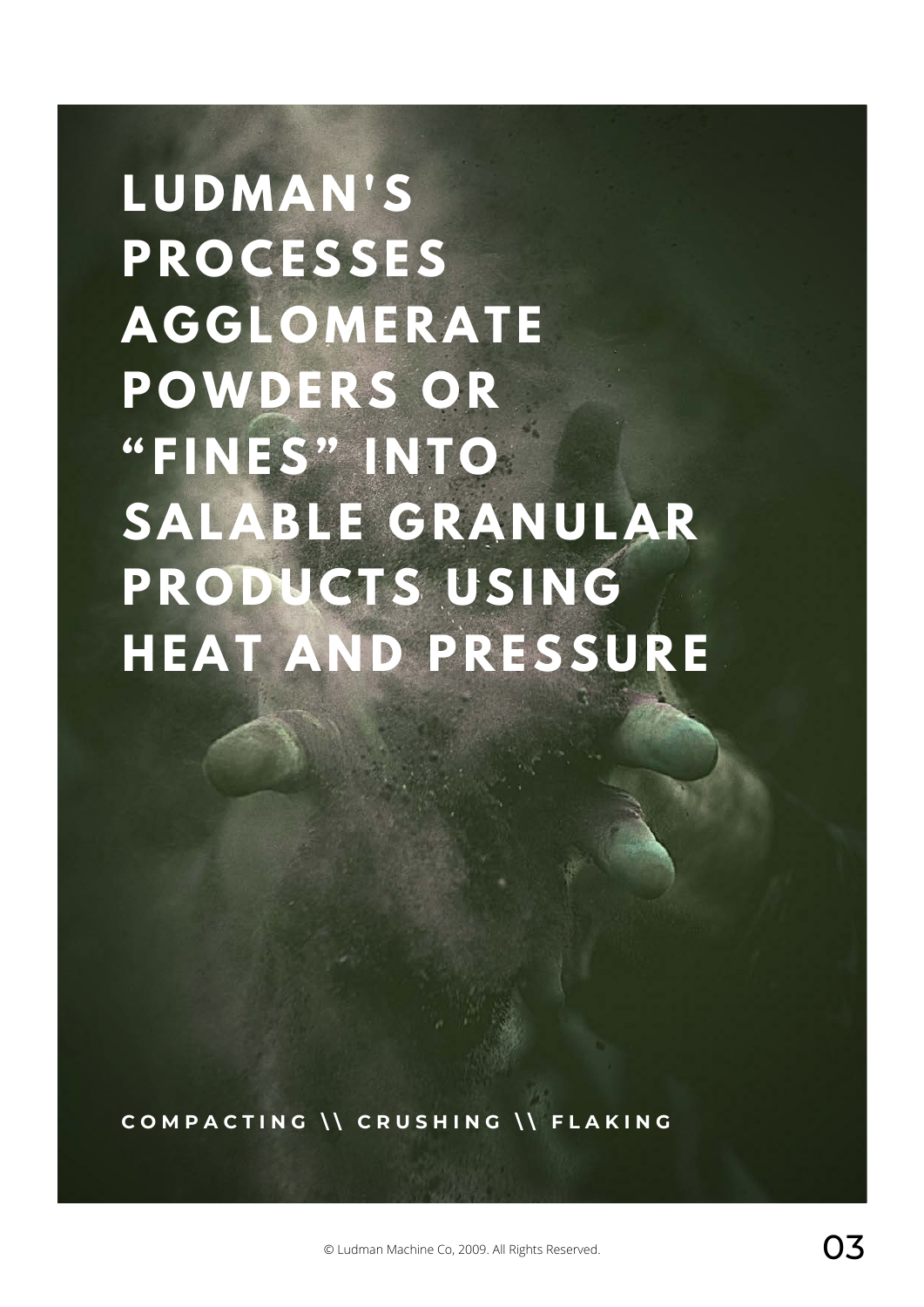**L U D M A N ' S P R O C E S S E S A G G L O M E R A T E P O W D E R S O R " F I N E S " I N T O** SALABLE GRANULAR **PRODUCTS USING H E A T A N D P R E S S U R E**

COMPACTING \\ CRUSHING \\ FLAKING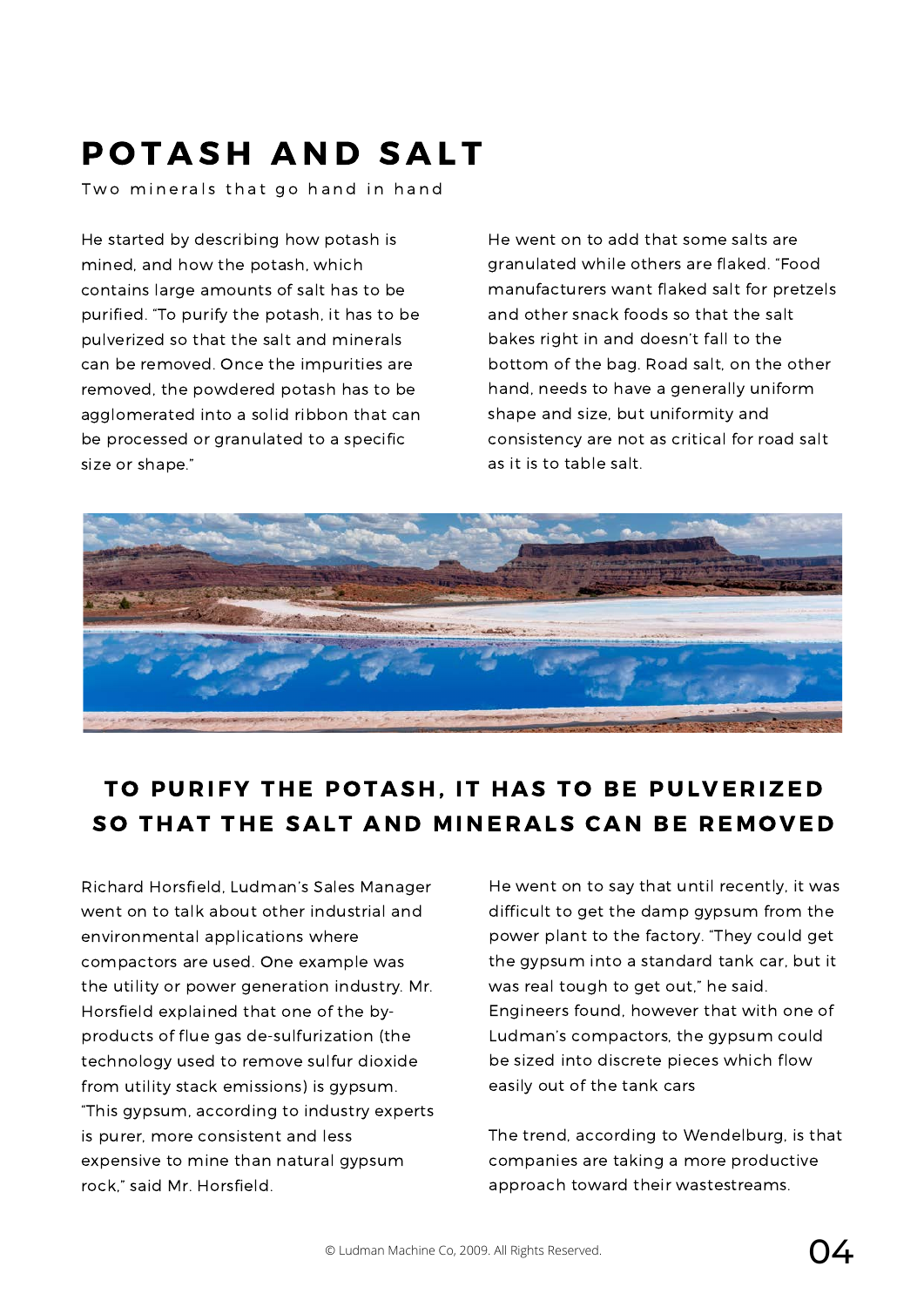### POTASH AND SALT

Two minerals that go hand in hand

He started by describing how potash is mined, and how the potash, which contains large amounts of salt has to be purified. "To purify the potash, it has to be pulverized so that the salt and minerals can be removed. Once the impurities are removed, the powdered potash has to be agglomerated into a solid ribbon that can be processed or granulated to a specific size or shape."

He went on to add that some salts are granulated while others are flaked. "Food manufacturers want flaked salt for pretzels and other snack foods so that the salt bakes right in and doesn't fall to the bottom of the bag. Road salt, on the other hand, needs to have a generally uniform shape and size, but uniformity and consistency are not as critical for road salt as it is to table salt.



#### TO PURIFY THE POTASH, IT HAS TO BE PULVERIZED SO THAT THE SALT AND MINERALS CAN BE REMOVED

Richard Horsfield, Ludman's Sales Manager went on to talk about other industrial and environmental applications where compactors are used. One example was the utility or power generation industry. Mr. Horsfield explained that one of the byproducts of flue gas de-sulfurization (the technology used to remove sulfur dioxide from utility stack emissions) is gypsum. "This gypsum, according to industry experts is purer, more consistent and less expensive to mine than natural gypsum rock," said Mr. Horsfield.

He went on to say that until recently, it was difficult to get the damp gypsum from the power plant to the factory. "They could get the gypsum into a standard tank car, but it was real tough to get out," he said. Engineers found, however that with one of Ludman's compactors, the gypsum could be sized into discrete pieces which flow easily out of the tank cars

The trend, according to Wendelburg, is that companies are taking a more productive approach toward their wastestreams.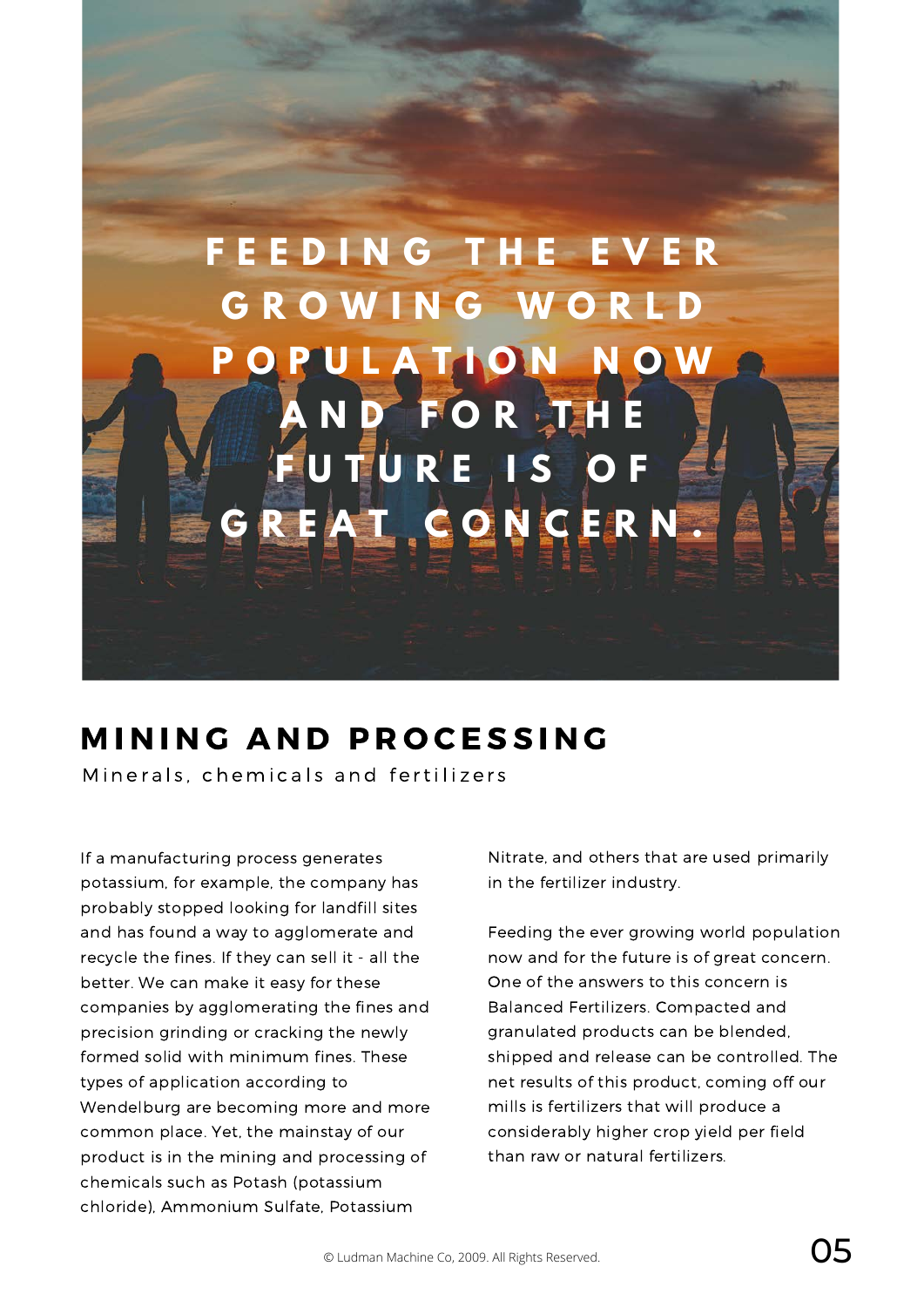

#### MINING AND PROCESSING

Minerals, chemicals and fertilizers

If a manufacturing process generates potassium, for example, the company has probably stopped looking for landfill sites and has found a way to agglomerate and recycle the fines. If they can sell it - all the better. We can make it easy for these companies by agglomerating the fines and precision grinding or cracking the newly formed solid with minimum fines. These types of application according to Wendelburg are becoming more and more common place. Yet, the mainstay of our product is in the mining and processing of chemicals such as Potash (potassium chloride), Ammonium Sulfate, Potassium

Nitrate, and others that are used primarily in the fertilizer industry.

Feeding the ever growing world population now and for the future is of great concern. One of the answers to this concern is Balanced Fertilizers. Compacted and granulated products can be blended, shipped and release can be controlled. The net results of this product, coming off our mills is fertilizers that will produce a considerably higher crop yield per field than raw or natural fertilizers.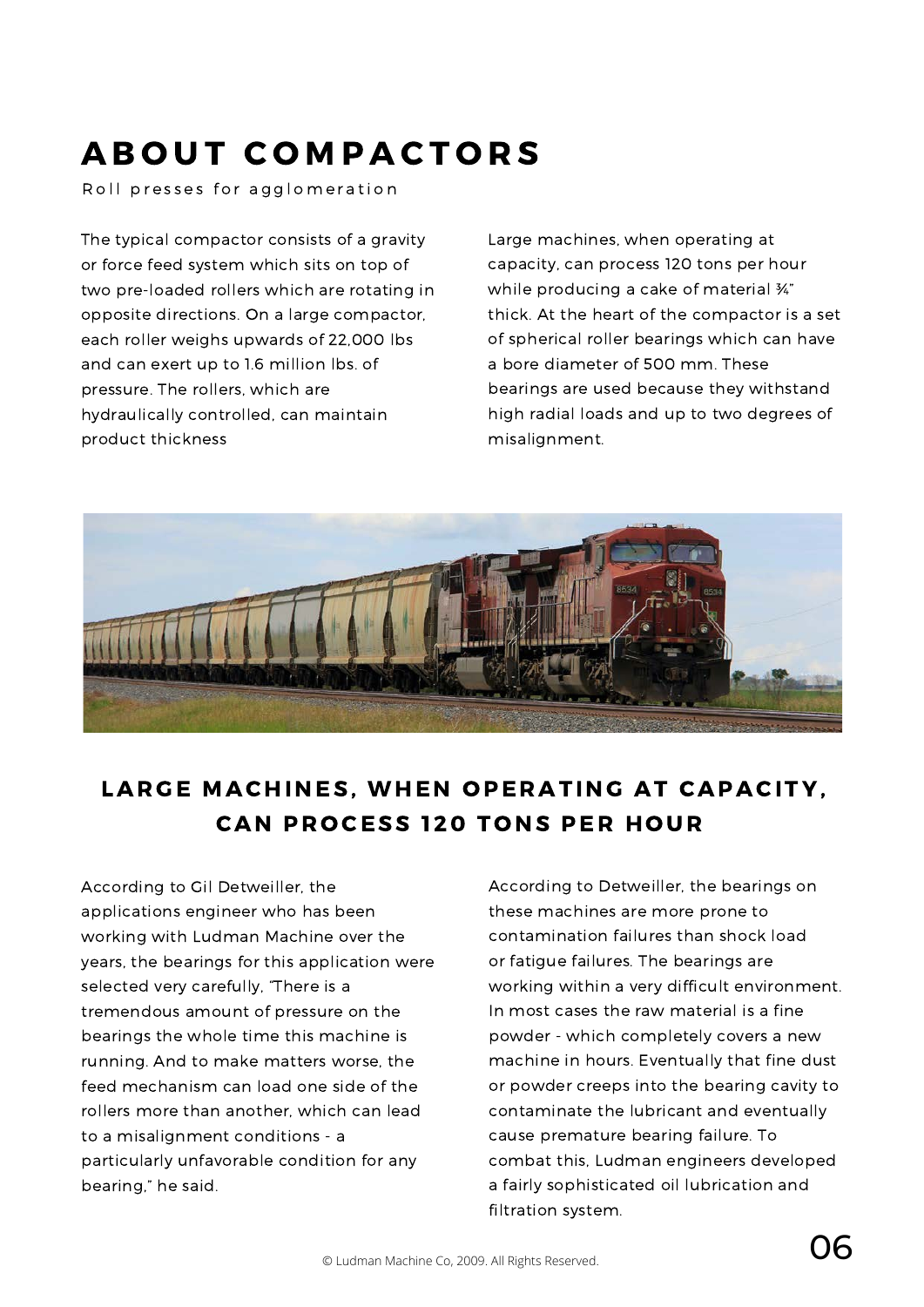## A B OUT COMPACTORS

Roll presses for agglomeration

The typical compactor consists of a gravity or force feed system which sits on top of two pre-loaded rollers which are rotating in opposite directions. On a large compactor, each roller weighs upwards of 22,000 lbs and can exert up to 1.6 million lbs. of pressure. The rollers, which are hydraulically controlled, can maintain product thickness

Large machines, when operating at capacity, can process 120 tons per hour while producing a cake of material ¾" thick. At the heart of the compactor is a set of spherical roller bearings which can have a bore diameter of 500 mm. These bearings are used because they withstand high radial loads and up to two degrees of misalignment.



#### LARGE MACHINES, WHEN OPERATING AT CAPACITY, **CAN PROCESS 120 TONS PER HOUR**

According to Gil Detweiller, the applications engineer who has been working with Ludman Machine over the years, the bearings for this application were selected very carefully, "There is a tremendous amount of pressure on the bearings the whole time this machine is running. And to make matters worse, the feed mechanism can load one side of the rollers more than another, which can lead to a misalignment conditions - a particularly unfavorable condition for any bearing," he said.

According to Detweiller, the bearings on these machines are more prone to contamination failures than shock load or fatigue failures. The bearings are working within a very difficult environment. In most cases the raw material is a fine powder - which completely covers a new machine in hours. Eventually that fine dust or powder creeps into the bearing cavity to contaminate the lubricant and eventually cause premature bearing failure. To combat this, Ludman engineers developed a fairly sophisticated oil lubrication and filtration system.